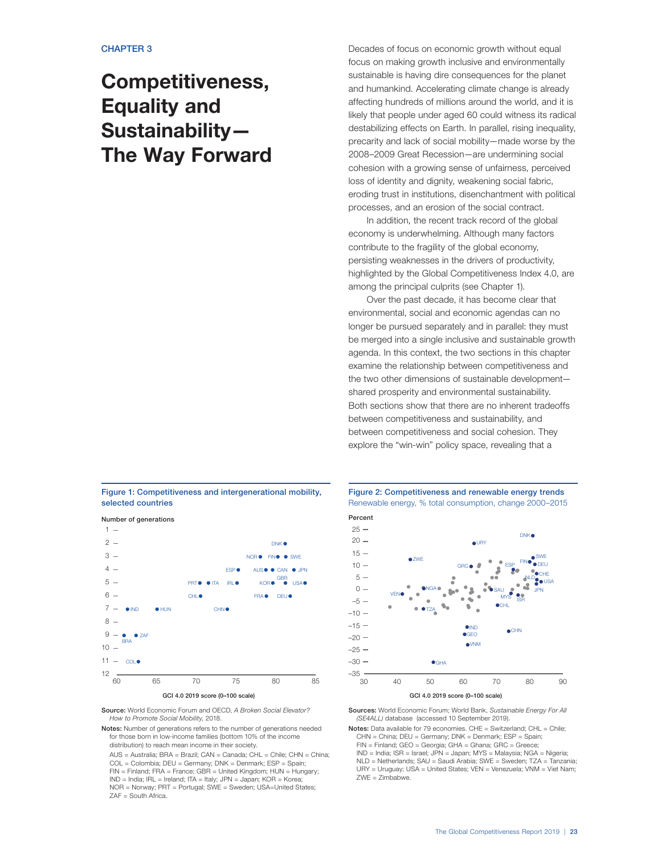# **Competitiveness, Equality and Sustainability— The Way Forward**

Figure 1: Competitiveness and intergenerational mobility, selected countries



Source: World Economic Forum and OECD, A Broken Social Elevator? How to Promote Social Mobility, 2018.

Notes: Number of generations refers to the number of generations needed for those born in low-income families (bottom 10% of the income distribution) to reach mean income in their society.

AUS = Australia; BRA = Brazil; CAN = Canada; CHL = Chile; CHN = China; COL = Colombia; DEU = Germany; DNK = Denmark; ESP = Spain; FIN = Finland; FRA = France; GBR = United Kingdom; HUN = Hungary; IND = India; IRL = Ireland; ITA = Italy; JPN = Japan; KOR = Korea; NOR = Norway; PRT = Portugal; SWE = Sweden; USA=United States; ZAF = South Africa.

Decades of focus on economic growth without equal focus on making growth inclusive and environmentally sustainable is having dire consequences for the planet and humankind. Accelerating climate change is already affecting hundreds of millions around the world, and it is likely that people under aged 60 could witness its radical destabilizing effects on Earth. In parallel, rising inequality, precarity and lack of social mobility—made worse by the 2008–2009 Great Recession—are undermining social cohesion with a growing sense of unfairness, perceived loss of identity and dignity, weakening social fabric, eroding trust in institutions, disenchantment with political processes, and an erosion of the social contract.

In addition, the recent track record of the global economy is underwhelming. Although many factors contribute to the fragility of the global economy, persisting weaknesses in the drivers of productivity, highlighted by the Global Competitiveness Index 4.0, are among the principal culprits (see Chapter 1).

Over the past decade, it has become clear that environmental, social and economic agendas can no longer be pursued separately and in parallel: they must be merged into a single inclusive and sustainable growth agenda. In this context, the two sections in this chapter examine the relationship between competitiveness and the two other dimensions of sustainable development shared prosperity and environmental sustainability. Both sections show that there are no inherent tradeoffs between competitiveness and sustainability, and between competitiveness and social cohesion. They explore the "win-win" policy space, revealing that a





Sources: World Economic Forum; World Bank, Sustainable Energy For All (SE4ALL) database (accessed 10 September 2019).

Notes: Data available for 79 economies. CHE = Switzerland; CHL = Chile; CHN = China; DEU = Germany; DNK = Denmark; ESP = Spain;

FIN = Finland; GEO = Georgia; GHA = Ghana; GRC = Greece;

IND = India; ISR = Israel; JPN = Japan; MYS = Malaysia; NGA = Nigeria; NLD = Netherlands; SAU = Saudi Arabia; SWE = Sweden; TZA = Tanzania; URY = Uruguay; USA = United States; VEN = Venezuela; VNM = Viet Nam; ZWE = Zimbabwe.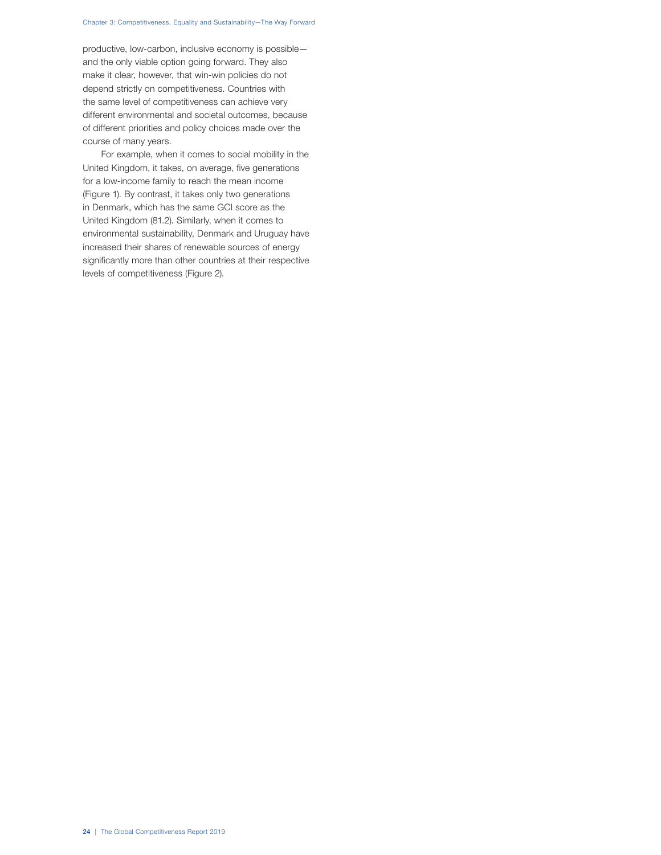#### Chapter 3: Competitiveness, Equality and Sustainability—The Way Forward

productive, low-carbon, inclusive economy is possible and the only viable option going forward. They also make it clear, however, that win-win policies do not depend strictly on competitiveness. Countries with the same level of competitiveness can achieve very different environmental and societal outcomes, because of different priorities and policy choices made over the course of many years.

For example, when it comes to social mobility in the United Kingdom, it takes, on average, five generations for a low-income family to reach the mean income (Figure 1). By contrast, it takes only two generations in Denmark, which has the same GCI score as the United Kingdom (81.2). Similarly, when it comes to environmental sustainability, Denmark and Uruguay have increased their shares of renewable sources of energy significantly more than other countries at their respective levels of competitiveness (Figure 2).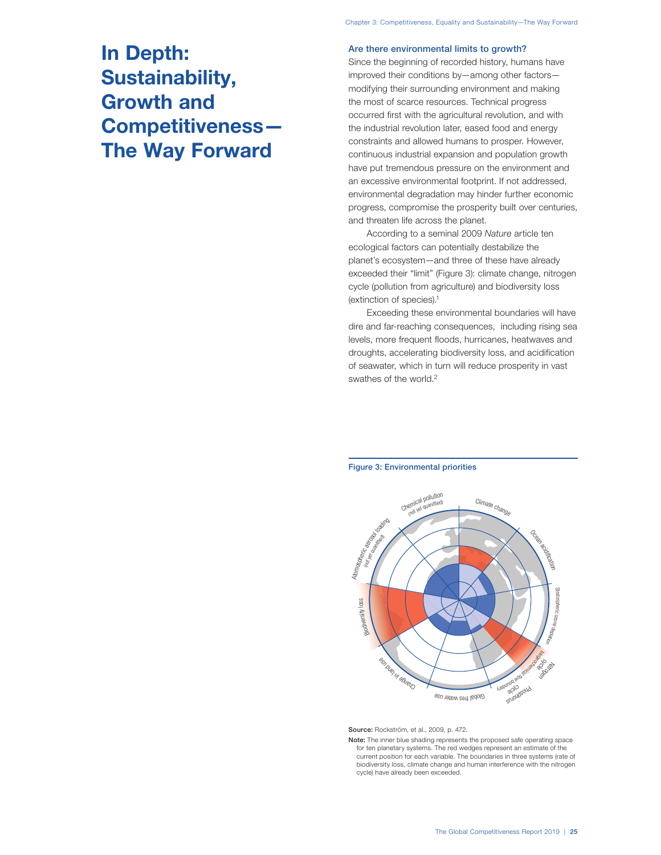# **In Depth: Sustainability, Growth and Competitiveness— The Way Forward**

## Are there environmental limits to growth?

Since the beginning of recorded history, humans have improved their conditions by—among other factors modifying their surrounding environment and making the most of scarce resources. Technical progress occurred first with the agricultural revolution, and with the industrial revolution later, eased food and energy constraints and allowed humans to prosper. However, continuous industrial expansion and population growth have put tremendous pressure on the environment and an excessive environmental footprint. If not addressed, environmental degradation may hinder further economic progress, compromise the prosperity built over centuries, and threaten life across the planet.

According to a seminal 2009 Nature article ten ecological factors can potentially destabilize the planet's ecosystem—and three of these have already exceeded their "limit" (Figure 3): climate change, nitrogen cycle (pollution from agriculture) and biodiversity loss (extinction of species).1

Exceeding these environmental boundaries will have dire and far-reaching consequences, including rising sea levels, more frequent floods, hurricanes, heatwaves and droughts, accelerating biodiversity loss, and acidification of seawater, which in turn will reduce prosperity in vast swathes of the world.<sup>2</sup>



#### Figure 3: Environmental priorities

Source: Rockström, et al., 2009, p. 472.

Note: The inner blue shading represents the proposed safe operating space for ten planetary systems. The red wedges represent an estimate of the current position for each variable. The boundaries in three systems (rate of biodiversity loss, climate change and human interference with the nitrogen cycle) have already been exceeded.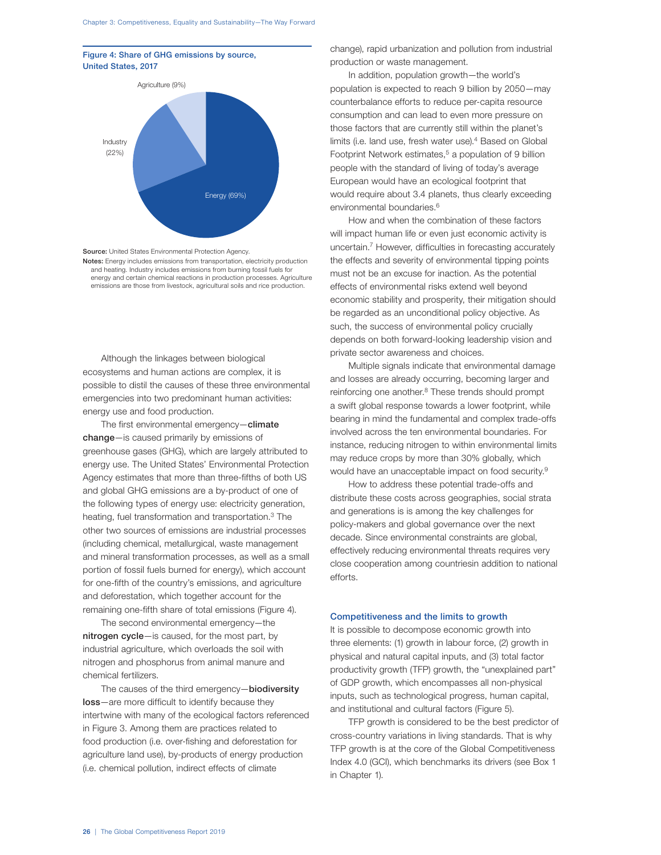# Figure 4: Share of GHG emissions by source, United States, 2017



Source: United States Environmental Protection Agency.

Notes: Energy includes emissions from transportation, electricity production and heating. Industry includes emissions from burning fossil fuels for energy and certain chemical reactions in production processes. Agriculture emissions are those from livestock, agricultural soils and rice production.

Although the linkages between biological ecosystems and human actions are complex, it is possible to distil the causes of these three environmental emergencies into two predominant human activities: energy use and food production.

The first environmental emergency-climate change—is caused primarily by emissions of greenhouse gases (GHG), which are largely attributed to energy use. The United States' Environmental Protection Agency estimates that more than three-fifths of both US and global GHG emissions are a by-product of one of the following types of energy use: electricity generation, heating, fuel transformation and transportation.3 The other two sources of emissions are industrial processes (including chemical, metallurgical, waste management and mineral transformation processes, as well as a small portion of fossil fuels burned for energy), which account for one-fifth of the country's emissions, and agriculture and deforestation, which together account for the remaining one-fifth share of total emissions (Figure 4).

The second environmental emergency—the nitrogen cycle—is caused, for the most part, by industrial agriculture, which overloads the soil with nitrogen and phosphorus from animal manure and chemical fertilizers.

The causes of the third emergency-biodiversity loss—are more difficult to identify because they intertwine with many of the ecological factors referenced in Figure 3. Among them are practices related to food production (i.e. over-fishing and deforestation for agriculture land use), by-products of energy production (i.e. chemical pollution, indirect effects of climate

change), rapid urbanization and pollution from industrial production or waste management.

In addition, population growth—the world's population is expected to reach 9 billion by 2050—may counterbalance efforts to reduce per-capita resource consumption and can lead to even more pressure on those factors that are currently still within the planet's limits (i.e. land use, fresh water use).<sup>4</sup> Based on Global Footprint Network estimates,<sup>5</sup> a population of 9 billion people with the standard of living of today's average European would have an ecological footprint that would require about 3.4 planets, thus clearly exceeding environmental boundaries.<sup>6</sup>

How and when the combination of these factors will impact human life or even just economic activity is uncertain.7 However, difficulties in forecasting accurately the effects and severity of environmental tipping points must not be an excuse for inaction. As the potential effects of environmental risks extend well beyond economic stability and prosperity, their mitigation should be regarded as an unconditional policy objective. As such, the success of environmental policy crucially depends on both forward-looking leadership vision and private sector awareness and choices.

Multiple signals indicate that environmental damage and losses are already occurring, becoming larger and reinforcing one another.<sup>8</sup> These trends should prompt a swift global response towards a lower footprint, while bearing in mind the fundamental and complex trade-offs involved across the ten environmental boundaries. For instance, reducing nitrogen to within environmental limits may reduce crops by more than 30% globally, which would have an unacceptable impact on food security.9

How to address these potential trade-offs and distribute these costs across geographies, social strata and generations is is among the key challenges for policy-makers and global governance over the next decade. Since environmental constraints are global, effectively reducing environmental threats requires very close cooperation among countriesin addition to national efforts.

### Competitiveness and the limits to growth

It is possible to decompose economic growth into three elements: (1) growth in labour force, (2) growth in physical and natural capital inputs, and (3) total factor productivity growth (TFP) growth, the "unexplained part" of GDP growth, which encompasses all non-physical inputs, such as technological progress, human capital, and institutional and cultural factors (Figure 5).

TFP growth is considered to be the best predictor of cross-country variations in living standards. That is why TFP growth is at the core of the Global Competitiveness Index 4.0 (GCI), which benchmarks its drivers (see Box 1 in Chapter 1).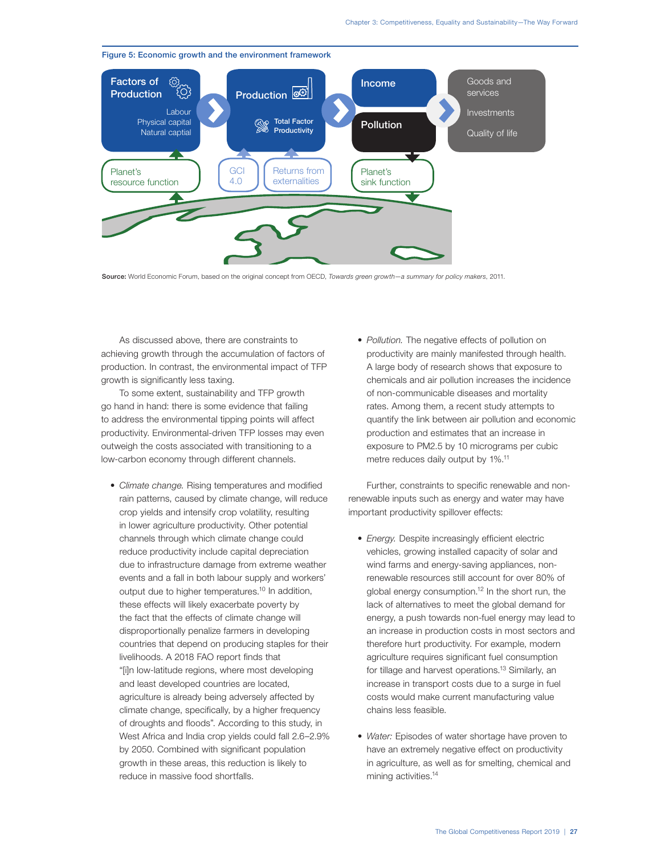

Figure 5: Economic growth and the environment framework

Source: World Economic Forum, based on the original concept from OECD, Towards green growth-a summary for policy makers, 2011.

As discussed above, there are constraints to achieving growth through the accumulation of factors of production. In contrast, the environmental impact of TFP growth is significantly less taxing.

To some extent, sustainability and TFP growth go hand in hand: there is some evidence that failing to address the environmental tipping points will affect productivity. Environmental-driven TFP losses may even outweigh the costs associated with transitioning to a low-carbon economy through different channels.

- Climate change. Rising temperatures and modified rain patterns, caused by climate change, will reduce crop yields and intensify crop volatility, resulting in lower agriculture productivity. Other potential channels through which climate change could reduce productivity include capital depreciation due to infrastructure damage from extreme weather events and a fall in both labour supply and workers' output due to higher temperatures.<sup>10</sup> In addition, these effects will likely exacerbate poverty by the fact that the effects of climate change will disproportionally penalize farmers in developing countries that depend on producing staples for their livelihoods. A 2018 FAO report finds that "[i]n low-latitude regions, where most developing and least developed countries are located, agriculture is already being adversely affected by climate change, specifically, by a higher frequency of droughts and floods". According to this study, in West Africa and India crop yields could fall 2.6–2.9% by 2050. Combined with significant population growth in these areas, this reduction is likely to reduce in massive food shortfalls.
- Pollution. The negative effects of pollution on productivity are mainly manifested through health. A large body of research shows that exposure to chemicals and air pollution increases the incidence of non-communicable diseases and mortality rates. Among them, a recent study attempts to quantify the link between air pollution and economic production and estimates that an increase in exposure to PM2.5 by 10 micrograms per cubic metre reduces daily output by 1%.<sup>11</sup>

Further, constraints to specific renewable and nonrenewable inputs such as energy and water may have important productivity spillover effects:

- Energy. Despite increasingly efficient electric vehicles, growing installed capacity of solar and wind farms and energy-saving appliances, nonrenewable resources still account for over 80% of global energy consumption.12 In the short run, the lack of alternatives to meet the global demand for energy, a push towards non-fuel energy may lead to an increase in production costs in most sectors and therefore hurt productivity. For example, modern agriculture requires significant fuel consumption for tillage and harvest operations.13 Similarly, an increase in transport costs due to a surge in fuel costs would make current manufacturing value chains less feasible.
- Water: Episodes of water shortage have proven to have an extremely negative effect on productivity in agriculture, as well as for smelting, chemical and mining activities.<sup>14</sup>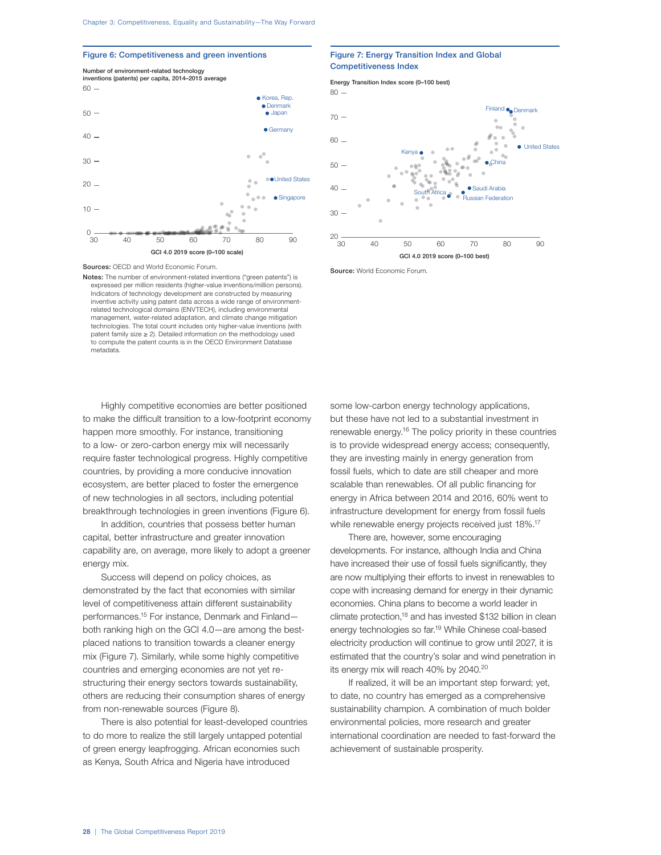#### Figure 6: Competitiveness and green inventions



Sources: OECD and World Economic Forum.

Notes: The number of environment-related inventions ("green patents") is expressed per million residents (higher-value inventions/million persons). Indicators of technology development are constructed by measuring inventive activity using patent data across a wide range of environmentrelated technological domains (ENVTECH), including environmental management, water-related adaptation, and climate change mitigation technologies. The total count includes only higher-value inventions (with patent family size ≥ 2). Detailed information on the methodology used to compute the patent counts is in the OECD Environment Database metadata.

Highly competitive economies are better positioned to make the difficult transition to a low-footprint economy happen more smoothly. For instance, transitioning to a low- or zero-carbon energy mix will necessarily require faster technological progress. Highly competitive countries, by providing a more conducive innovation ecosystem, are better placed to foster the emergence of new technologies in all sectors, including potential breakthrough technologies in green inventions (Figure 6).

In addition, countries that possess better human capital, better infrastructure and greater innovation capability are, on average, more likely to adopt a greener energy mix.

Success will depend on policy choices, as demonstrated by the fact that economies with similar level of competitiveness attain different sustainability performances.15 For instance, Denmark and Finland both ranking high on the GCI 4.0—are among the bestplaced nations to transition towards a cleaner energy mix (Figure 7). Similarly, while some highly competitive countries and emerging economies are not yet restructuring their energy sectors towards sustainability, others are reducing their consumption shares of energy from non-renewable sources (Figure 8).

There is also potential for least-developed countries to do more to realize the still largely untapped potential of green energy leapfrogging. African economies such as Kenya, South Africa and Nigeria have introduced

# Figure 7: Energy Transition Index and Global Competitiveness Index

Energy Transition Index score (0–100 best)  $80 -$ Finland <sub>O</sub>Denmark  $70 -$ 6ó  $60 \bullet$  United States Kenya a  $50 -$ China  $40 -$ Saudi Arabia ssian Federation 30  $\frac{20}{30}$ 30 40 50 60 70 80 90 GCI 4.0 2019 score (0–100 best)

Source: World Economic Forum.

some low-carbon energy technology applications, but these have not led to a substantial investment in renewable energy.<sup>16</sup> The policy priority in these countries is to provide widespread energy access; consequently, they are investing mainly in energy generation from fossil fuels, which to date are still cheaper and more scalable than renewables. Of all public financing for energy in Africa between 2014 and 2016, 60% went to infrastructure development for energy from fossil fuels while renewable energy projects received just 18%.<sup>17</sup>

There are, however, some encouraging developments. For instance, although India and China have increased their use of fossil fuels significantly, they are now multiplying their efforts to invest in renewables to cope with increasing demand for energy in their dynamic economies. China plans to become a world leader in climate protection,<sup>18</sup> and has invested \$132 billion in clean energy technologies so far.<sup>19</sup> While Chinese coal-based electricity production will continue to grow until 2027, it is estimated that the country's solar and wind penetration in its energy mix will reach 40% by 2040.<sup>20</sup>

If realized, it will be an important step forward; yet, to date, no country has emerged as a comprehensive sustainability champion. A combination of much bolder environmental policies, more research and greater international coordination are needed to fast-forward the achievement of sustainable prosperity.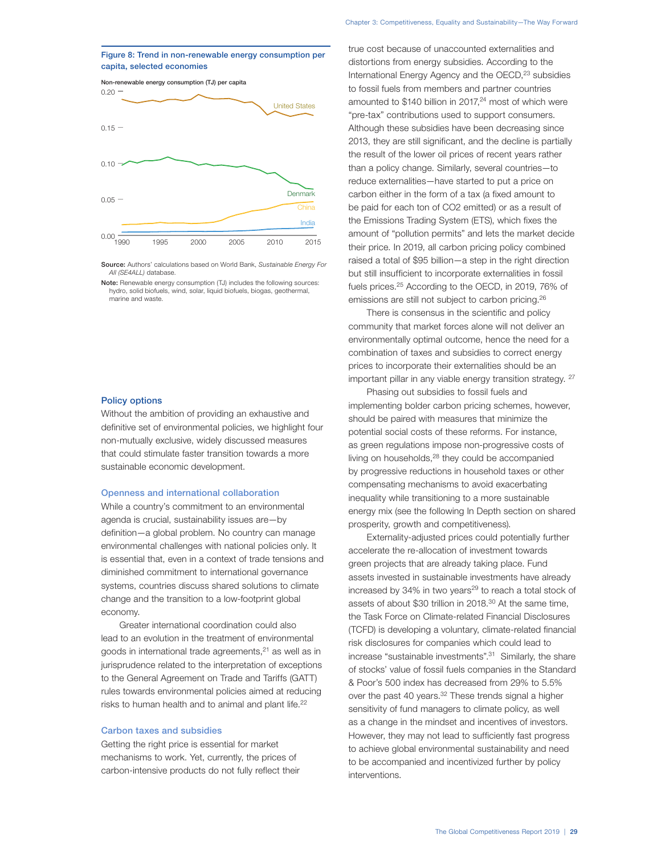## Figure 8: Trend in non-renewable energy consumption per capita, selected economies



Source: Authors' calculations based on World Bank, Sustainable Energy For All (SE4ALL) database.

#### Policy options

Without the ambition of providing an exhaustive and definitive set of environmental policies, we highlight four non-mutually exclusive, widely discussed measures that could stimulate faster transition towards a more sustainable economic development.

## Openness and international collaboration

While a country's commitment to an environmental agenda is crucial, sustainability issues are—by definition—a global problem. No country can manage environmental challenges with national policies only. It is essential that, even in a context of trade tensions and diminished commitment to international governance systems, countries discuss shared solutions to climate change and the transition to a low-footprint global economy.

Greater international coordination could also lead to an evolution in the treatment of environmental goods in international trade agreements, $21$  as well as in jurisprudence related to the interpretation of exceptions to the General Agreement on Trade and Tariffs (GATT) rules towards environmental policies aimed at reducing risks to human health and to animal and plant life.<sup>22</sup>

## Carbon taxes and subsidies

Getting the right price is essential for market mechanisms to work. Yet, currently, the prices of carbon-intensive products do not fully reflect their true cost because of unaccounted externalities and distortions from energy subsidies. According to the International Energy Agency and the OECD,<sup>23</sup> subsidies to fossil fuels from members and partner countries amounted to  $$140$  billion in 2017,<sup>24</sup> most of which were "pre-tax" contributions used to support consumers. Although these subsidies have been decreasing since 2013, they are still significant, and the decline is partially the result of the lower oil prices of recent years rather than a policy change. Similarly, several countries—to reduce externalities—have started to put a price on carbon either in the form of a tax (a fixed amount to be paid for each ton of CO2 emitted) or as a result of the Emissions Trading System (ETS), which fixes the amount of "pollution permits" and lets the market decide their price. In 2019, all carbon pricing policy combined raised a total of \$95 billion—a step in the right direction but still insufficient to incorporate externalities in fossil fuels prices.25 According to the OECD, in 2019, 76% of emissions are still not subject to carbon pricing.<sup>26</sup>

There is consensus in the scientific and policy community that market forces alone will not deliver an environmentally optimal outcome, hence the need for a combination of taxes and subsidies to correct energy prices to incorporate their externalities should be an important pillar in any viable energy transition strategy. <sup>27</sup>

Phasing out subsidies to fossil fuels and implementing bolder carbon pricing schemes, however, should be paired with measures that minimize the potential social costs of these reforms. For instance, as green regulations impose non-progressive costs of living on households,<sup>28</sup> they could be accompanied by progressive reductions in household taxes or other compensating mechanisms to avoid exacerbating inequality while transitioning to a more sustainable energy mix (see the following In Depth section on shared prosperity, growth and competitiveness).

Externality-adjusted prices could potentially further accelerate the re-allocation of investment towards green projects that are already taking place. Fund assets invested in sustainable investments have already increased by 34% in two years<sup>29</sup> to reach a total stock of assets of about \$30 trillion in 2018.<sup>30</sup> At the same time, the Task Force on Climate-related Financial Disclosures (TCFD) is developing a voluntary, climate-related financial risk disclosures for companies which could lead to increase "sustainable investments".31 Similarly, the share of stocks' value of fossil fuels companies in the Standard & Poor's 500 index has decreased from 29% to 5.5% over the past 40 years.<sup>32</sup> These trends signal a higher sensitivity of fund managers to climate policy, as well as a change in the mindset and incentives of investors. However, they may not lead to sufficiently fast progress to achieve global environmental sustainability and need to be accompanied and incentivized further by policy interventions.

Note: Renewable energy consumption (TJ) includes the following sources: hydro, solid biofuels, wind, solar, liquid biofuels, biogas, geothermal, marine and waste.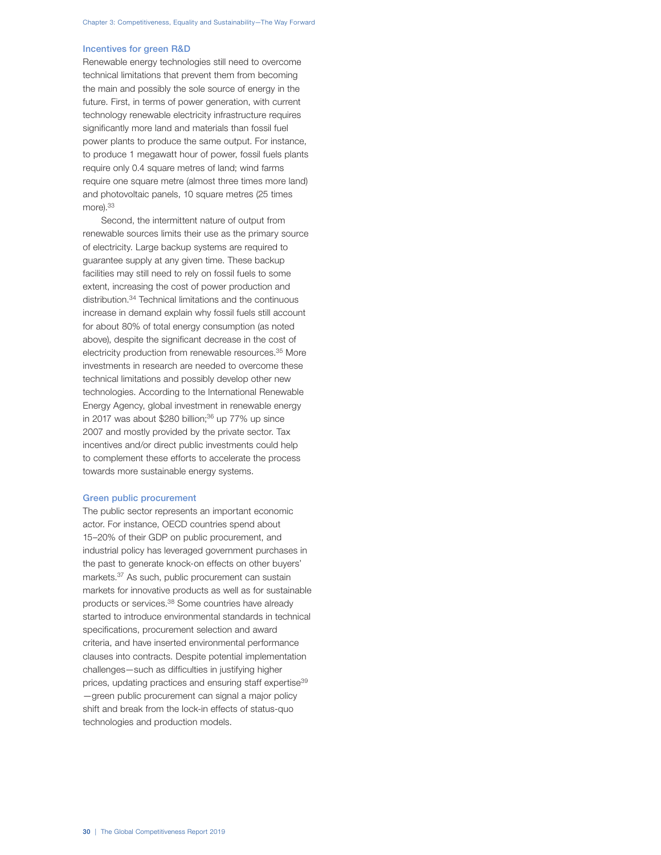# Incentives for green R&D

Renewable energy technologies still need to overcome technical limitations that prevent them from becoming the main and possibly the sole source of energy in the future. First, in terms of power generation, with current technology renewable electricity infrastructure requires significantly more land and materials than fossil fuel power plants to produce the same output. For instance, to produce 1 megawatt hour of power, fossil fuels plants require only 0.4 square metres of land; wind farms require one square metre (almost three times more land) and photovoltaic panels, 10 square metres (25 times more).<sup>33</sup>

Second, the intermittent nature of output from renewable sources limits their use as the primary source of electricity. Large backup systems are required to guarantee supply at any given time. These backup facilities may still need to rely on fossil fuels to some extent, increasing the cost of power production and distribution.34 Technical limitations and the continuous increase in demand explain why fossil fuels still account for about 80% of total energy consumption (as noted above), despite the significant decrease in the cost of electricity production from renewable resources.<sup>35</sup> More investments in research are needed to overcome these technical limitations and possibly develop other new technologies. According to the International Renewable Energy Agency, global investment in renewable energy in 2017 was about \$280 billion; $36$  up  $77\%$  up since 2007 and mostly provided by the private sector. Tax incentives and/or direct public investments could help to complement these efforts to accelerate the process towards more sustainable energy systems.

#### Green public procurement

The public sector represents an important economic actor. For instance, OECD countries spend about 15–20% of their GDP on public procurement, and industrial policy has leveraged government purchases in the past to generate knock-on effects on other buyers' markets.37 As such, public procurement can sustain markets for innovative products as well as for sustainable products or services.38 Some countries have already started to introduce environmental standards in technical specifications, procurement selection and award criteria, and have inserted environmental performance clauses into contracts. Despite potential implementation challenges—such as difficulties in justifying higher prices, updating practices and ensuring staff expertise<sup>39</sup> —green public procurement can signal a major policy shift and break from the lock-in effects of status-quo technologies and production models.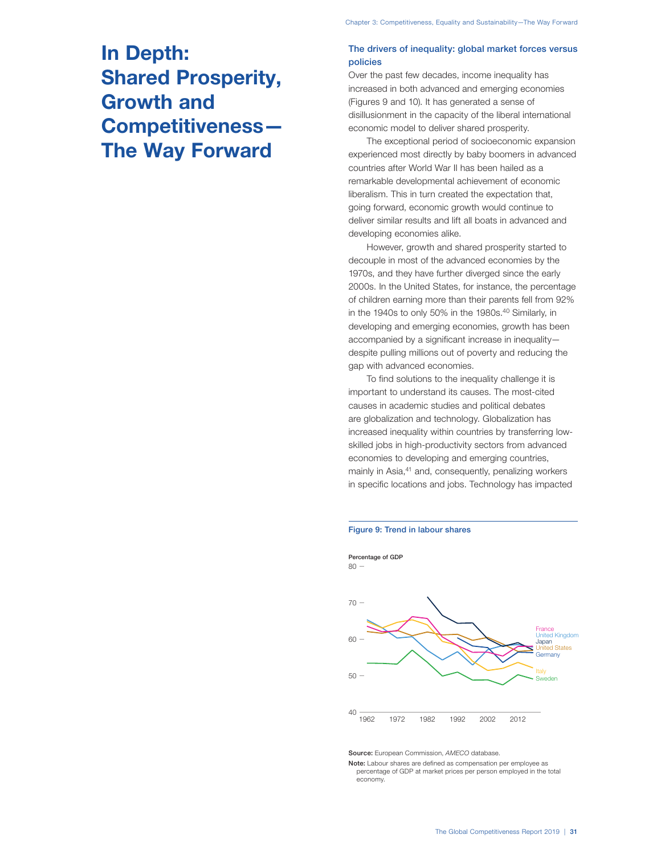# **In Depth: Shared Prosperity, Growth and Competitiveness— The Way Forward**

# The drivers of inequality: global market forces versus policies

Over the past few decades, income inequality has increased in both advanced and emerging economies (Figures 9 and 10). It has generated a sense of disillusionment in the capacity of the liberal international economic model to deliver shared prosperity.

The exceptional period of socioeconomic expansion experienced most directly by baby boomers in advanced countries after World War II has been hailed as a remarkable developmental achievement of economic liberalism. This in turn created the expectation that, going forward, economic growth would continue to deliver similar results and lift all boats in advanced and developing economies alike.

However, growth and shared prosperity started to decouple in most of the advanced economies by the 1970s, and they have further diverged since the early 2000s. In the United States, for instance, the percentage of children earning more than their parents fell from 92% in the 1940s to only 50% in the 1980s.<sup>40</sup> Similarly, in developing and emerging economies, growth has been accompanied by a significant increase in inequality despite pulling millions out of poverty and reducing the gap with advanced economies.

To find solutions to the inequality challenge it is important to understand its causes. The most-cited causes in academic studies and political debates are globalization and technology. Globalization has increased inequality within countries by transferring lowskilled jobs in high-productivity sectors from advanced economies to developing and emerging countries, mainly in Asia,<sup>41</sup> and, consequently, penalizing workers in specific locations and jobs. Technology has impacted





Source: European Commission, AMECO database.

Note: Labour shares are defined as compensation per employee as percentage of GDP at market prices per person employed in the total economy.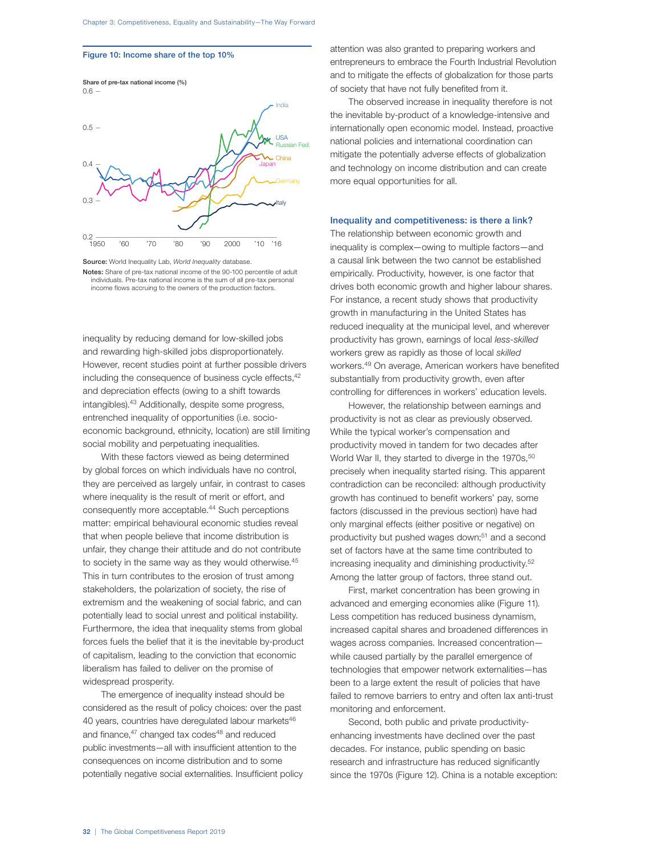#### Figure 10: Income share of the top 10%



Source: World Inequality Lab, World Inequality database.

Notes: Share of pre-tax national income of the 90-100 percentile of adult individuals. Pre-tax national income is the sum of all pre-tax personal income flows accruing to the owners of the production factors.

inequality by reducing demand for low-skilled jobs and rewarding high-skilled jobs disproportionately. However, recent studies point at further possible drivers including the consequence of business cycle effects, <sup>42</sup> and depreciation effects (owing to a shift towards intangibles).43 Additionally, despite some progress, entrenched inequality of opportunities (i.e. socioeconomic background, ethnicity, location) are still limiting social mobility and perpetuating inequalities.

With these factors viewed as being determined by global forces on which individuals have no control, they are perceived as largely unfair, in contrast to cases where inequality is the result of merit or effort, and consequently more acceptable.<sup>44</sup> Such perceptions matter: empirical behavioural economic studies reveal that when people believe that income distribution is unfair, they change their attitude and do not contribute to society in the same way as they would otherwise.45 This in turn contributes to the erosion of trust among stakeholders, the polarization of society, the rise of extremism and the weakening of social fabric, and can potentially lead to social unrest and political instability. Furthermore, the idea that inequality stems from global forces fuels the belief that it is the inevitable by-product of capitalism, leading to the conviction that economic liberalism has failed to deliver on the promise of widespread prosperity.

The emergence of inequality instead should be considered as the result of policy choices: over the past 40 years, countries have deregulated labour markets<sup>46</sup> and finance,<sup>47</sup> changed tax codes<sup>48</sup> and reduced public investments—all with insufficient attention to the consequences on income distribution and to some potentially negative social externalities. Insufficient policy attention was also granted to preparing workers and entrepreneurs to embrace the Fourth Industrial Revolution and to mitigate the effects of globalization for those parts of society that have not fully benefited from it.

The observed increase in inequality therefore is not the inevitable by-product of a knowledge-intensive and internationally open economic model. Instead, proactive national policies and international coordination can mitigate the potentially adverse effects of globalization and technology on income distribution and can create more equal opportunities for all.

# Inequality and competitiveness: is there a link?

The relationship between economic growth and inequality is complex—owing to multiple factors—and a causal link between the two cannot be established empirically. Productivity, however, is one factor that drives both economic growth and higher labour shares. For instance, a recent study shows that productivity growth in manufacturing in the United States has reduced inequality at the municipal level, and wherever productivity has grown, earnings of local less-skilled workers grew as rapidly as those of local skilled workers.49 On average, American workers have benefited substantially from productivity growth, even after controlling for differences in workers' education levels.

However, the relationship between earnings and productivity is not as clear as previously observed. While the typical worker's compensation and productivity moved in tandem for two decades after World War II, they started to diverge in the 1970s,<sup>50</sup> precisely when inequality started rising. This apparent contradiction can be reconciled: although productivity growth has continued to benefit workers' pay, some factors (discussed in the previous section) have had only marginal effects (either positive or negative) on productivity but pushed wages down;<sup>51</sup> and a second set of factors have at the same time contributed to increasing inequality and diminishing productivity.52 Among the latter group of factors, three stand out.

First, market concentration has been growing in advanced and emerging economies alike (Figure 11). Less competition has reduced business dynamism, increased capital shares and broadened differences in wages across companies. Increased concentration while caused partially by the parallel emergence of technologies that empower network externalities—has been to a large extent the result of policies that have failed to remove barriers to entry and often lax anti-trust monitoring and enforcement.

Second, both public and private productivityenhancing investments have declined over the past decades. For instance, public spending on basic research and infrastructure has reduced significantly since the 1970s (Figure 12). China is a notable exception: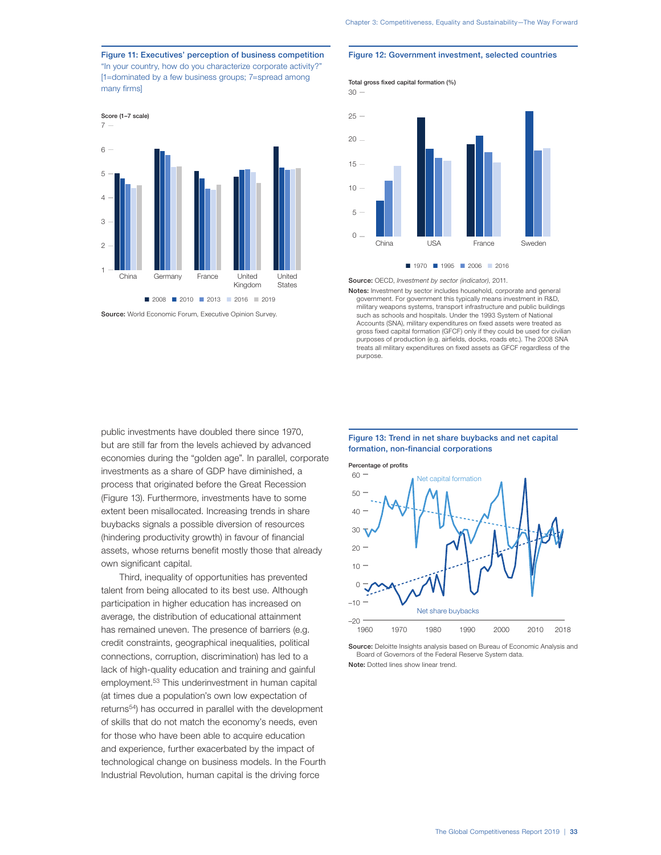Figure 11: Executives' perception of business competition "In your country, how do you characterize corporate activity?" [1=dominated by a few business groups; 7=spread among many firms]



Source: World Economic Forum, Executive Opinion Survey.

# public investments have doubled there since 1970, but are still far from the levels achieved by advanced economies during the "golden age". In parallel, corporate investments as a share of GDP have diminished, a process that originated before the Great Recession (Figure 13). Furthermore, investments have to some extent been misallocated. Increasing trends in share buybacks signals a possible diversion of resources (hindering productivity growth) in favour of financial assets, whose returns benefit mostly those that already own significant capital.

Third, inequality of opportunities has prevented talent from being allocated to its best use. Although participation in higher education has increased on average, the distribution of educational attainment has remained uneven. The presence of barriers (e.g. credit constraints, geographical inequalities, political connections, corruption, discrimination) has led to a lack of high-quality education and training and gainful employment.53 This underinvestment in human capital (at times due a population's own low expectation of returns54) has occurred in parallel with the development of skills that do not match the economy's needs, even for those who have been able to acquire education and experience, further exacerbated by the impact of technological change on business models. In the Fourth Industrial Revolution, human capital is the driving force

#### Figure 12: Government investment, selected countries



Source: OECD, Investment by sector (indicator), 2011.

Notes: Investment by sector includes household, corporate and general government. For government this typically means investment in R&D, military weapons systems, transport infrastructure and public buildings such as schools and hospitals. Under the 1993 System of National Accounts (SNA), military expenditures on fixed assets were treated as gross fixed capital formation (GFCF) only if they could be used for civilian purposes of production (e.g. airfields, docks, roads etc.). The 2008 SNA treats all military expenditures on fixed assets as GFCF regardless of the purpose.

### Figure 13: Trend in net share buybacks and net capital formation, non-financial corporations



Source: Deloitte Insights analysis based on Bureau of Economic Analysis and Board of Governors of the Federal Reserve System data. Note: Dotted lines show linear trend.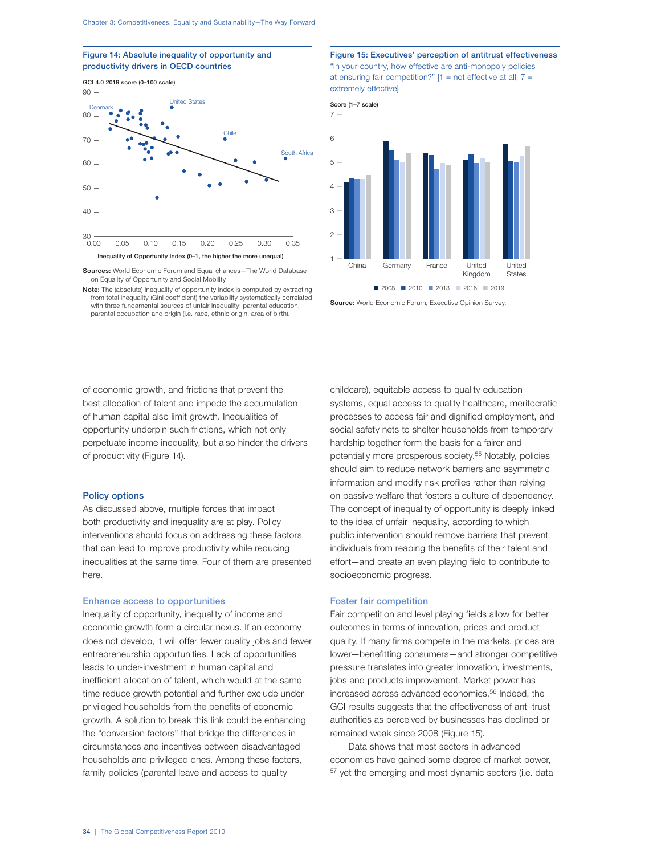Figure 14: Absolute inequality of opportunity and productivity drivers in OECD countries



Sources: World Economic Forum and Equal chances—The World Database on Equality of Opportunity and Social Mobility

Note: The (absolute) inequality of opportunity index is computed by extracting from total inequality (Gini coefficient) the variability systematically correlated with three fundamental sources of unfair inequality: parental education, parental occupation and origin (i.e. race, ethnic origin, area of birth).

Figure 15: Executives' perception of antitrust effectiveness "In your country, how effective are anti-monopoly policies at ensuring fair competition?"  $[1 = not effective at all; 7 =$ extremely effective]



Score (1–7 scale)

Source: World Economic Forum, Executive Opinion Survey.

of economic growth, and frictions that prevent the best allocation of talent and impede the accumulation of human capital also limit growth. Inequalities of opportunity underpin such frictions, which not only perpetuate income inequality, but also hinder the drivers of productivity (Figure 14).

#### Policy options

As discussed above, multiple forces that impact both productivity and inequality are at play. Policy interventions should focus on addressing these factors that can lead to improve productivity while reducing inequalities at the same time. Four of them are presented here.

#### Enhance access to opportunities

Inequality of opportunity, inequality of income and economic growth form a circular nexus. If an economy does not develop, it will offer fewer quality jobs and fewer entrepreneurship opportunities. Lack of opportunities leads to under-investment in human capital and inefficient allocation of talent, which would at the same time reduce growth potential and further exclude underprivileged households from the benefits of economic growth. A solution to break this link could be enhancing the "conversion factors" that bridge the differences in circumstances and incentives between disadvantaged households and privileged ones. Among these factors, family policies (parental leave and access to quality

childcare), equitable access to quality education systems, equal access to quality healthcare, meritocratic processes to access fair and dignified employment, and social safety nets to shelter households from temporary hardship together form the basis for a fairer and potentially more prosperous society.55 Notably, policies should aim to reduce network barriers and asymmetric information and modify risk profiles rather than relying on passive welfare that fosters a culture of dependency. The concept of inequality of opportunity is deeply linked to the idea of unfair inequality, according to which public intervention should remove barriers that prevent individuals from reaping the benefits of their talent and effort—and create an even playing field to contribute to socioeconomic progress.

# Foster fair competition

Fair competition and level playing fields allow for better outcomes in terms of innovation, prices and product quality. If many firms compete in the markets, prices are lower—benefitting consumers—and stronger competitive pressure translates into greater innovation, investments, jobs and products improvement. Market power has increased across advanced economies.<sup>56</sup> Indeed, the GCI results suggests that the effectiveness of anti-trust authorities as perceived by businesses has declined or remained weak since 2008 (Figure 15).

Data shows that most sectors in advanced economies have gained some degree of market power, <sup>57</sup> yet the emerging and most dynamic sectors (i.e. data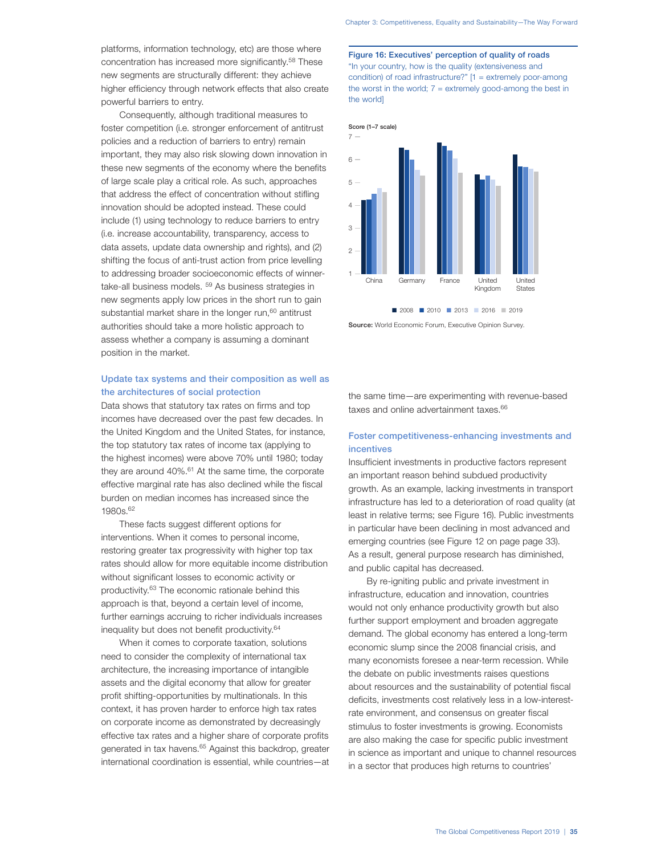platforms, information technology, etc) are those where concentration has increased more significantly.<sup>58</sup> These new segments are structurally different: they achieve higher efficiency through network effects that also create powerful barriers to entry.

Consequently, although traditional measures to foster competition (i.e. stronger enforcement of antitrust policies and a reduction of barriers to entry) remain important, they may also risk slowing down innovation in these new segments of the economy where the benefits of large scale play a critical role. As such, approaches that address the effect of concentration without stifling innovation should be adopted instead. These could include (1) using technology to reduce barriers to entry (i.e. increase accountability, transparency, access to data assets, update data ownership and rights), and (2) shifting the focus of anti-trust action from price levelling to addressing broader socioeconomic effects of winnertake-all business models. 59 As business strategies in new segments apply low prices in the short run to gain substantial market share in the longer run,<sup>60</sup> antitrust authorities should take a more holistic approach to assess whether a company is assuming a dominant position in the market.

# Update tax systems and their composition as well as the architectures of social protection

Data shows that statutory tax rates on firms and top incomes have decreased over the past few decades. In the United Kingdom and the United States, for instance, the top statutory tax rates of income tax (applying to the highest incomes) were above 70% until 1980; today they are around  $40\%$ .<sup>61</sup> At the same time, the corporate effective marginal rate has also declined while the fiscal burden on median incomes has increased since the 1980s.62

These facts suggest different options for interventions. When it comes to personal income, restoring greater tax progressivity with higher top tax rates should allow for more equitable income distribution without significant losses to economic activity or productivity.63 The economic rationale behind this approach is that, beyond a certain level of income, further earnings accruing to richer individuals increases inequality but does not benefit productivity.64

When it comes to corporate taxation, solutions need to consider the complexity of international tax architecture, the increasing importance of intangible assets and the digital economy that allow for greater profit shifting-opportunities by multinationals. In this context, it has proven harder to enforce high tax rates on corporate income as demonstrated by decreasingly effective tax rates and a higher share of corporate profits generated in tax havens.<sup>65</sup> Against this backdrop, greater international coordination is essential, while countries—at Figure 16: Executives' perception of quality of roads "In your country, how is the quality (extensiveness and condition) of road infrastructure?" [1 = extremely poor-among the worst in the world;  $7 =$  extremely good-among the best in the world]



Source: World Economic Forum, Executive Opinion Survey.

the same time—are experimenting with revenue-based taxes and online advertainment taxes.<sup>66</sup>

# Foster competitiveness-enhancing investments and incentives

Insufficient investments in productive factors represent an important reason behind subdued productivity growth. As an example, lacking investments in transport infrastructure has led to a deterioration of road quality (at least in relative terms; see Figure 16). Public investments in particular have been declining in most advanced and emerging countries (see Figure 12 on page page 33). As a result, general purpose research has diminished, and public capital has decreased.

By re-igniting public and private investment in infrastructure, education and innovation, countries would not only enhance productivity growth but also further support employment and broaden aggregate demand. The global economy has entered a long-term economic slump since the 2008 financial crisis, and many economists foresee a near-term recession. While the debate on public investments raises questions about resources and the sustainability of potential fiscal deficits, investments cost relatively less in a low-interestrate environment, and consensus on greater fiscal stimulus to foster investments is growing. Economists are also making the case for specific public investment in science as important and unique to channel resources in a sector that produces high returns to countries'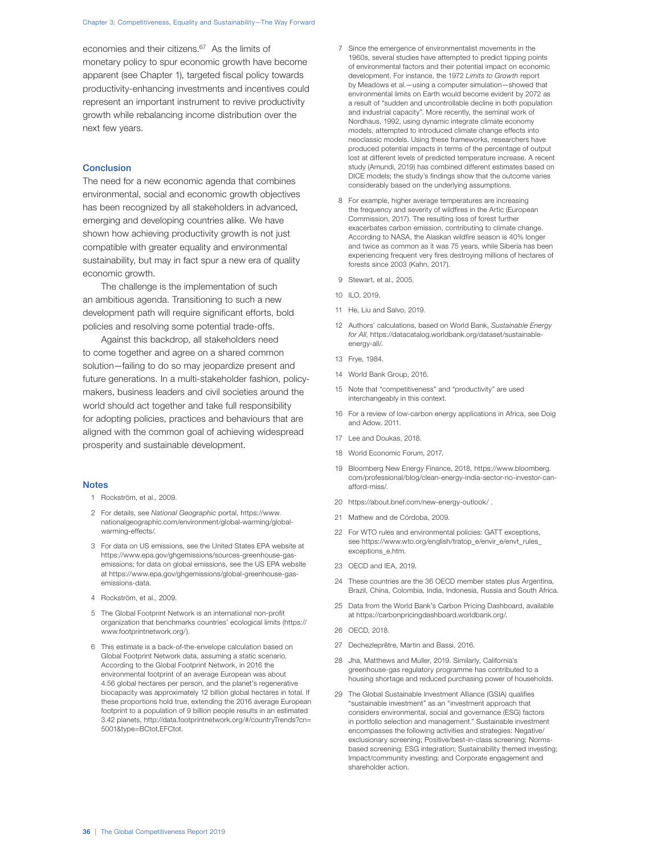economies and their citizens.<sup>67</sup> As the limits of monetary policy to spur economic growth have become apparent (see Chapter 1), targeted fiscal policy towards productivity-enhancing investments and incentives could represent an important instrument to revive productivity growth while rebalancing income distribution over the next few years.

#### **Conclusion**

The need for a new economic agenda that combines environmental, social and economic growth objectives has been recognized by all stakeholders in advanced, emerging and developing countries alike. We have shown how achieving productivity growth is not just compatible with greater equality and environmental sustainability, but may in fact spur a new era of quality economic growth.

The challenge is the implementation of such an ambitious agenda. Transitioning to such a new development path will require significant efforts, bold policies and resolving some potential trade-offs.

Against this backdrop, all stakeholders need to come together and agree on a shared common solution—failing to do so may jeopardize present and future generations. In a multi-stakeholder fashion, policymakers, business leaders and civil societies around the world should act together and take full responsibility for adopting policies, practices and behaviours that are aligned with the common goal of achieving widespread prosperity and sustainable development.

#### **Notes**

- 1 Rockström, et al., 2009.
- 2 For details, see National Geographic portal, https://www. nationalgeographic.com/environment/global-warming/globalwarming-effects/.
- 3 For data on US emissions, see the United States EPA website at https://www.epa.gov/ghgemissions/sources-greenhouse-gasemissions; for data on global emissions, see the US EPA website at https://www.epa.gov/ghgemissions/global-greenhouse-gasemissions-data.
- 4 Rockström, et al., 2009.
- 5 The Global Footprint Network is an international non-profit organization that benchmarks countries' ecological limits (https:// www.footprintnetwork.org/).
- 6 This estimate is a back-of-the-envelope calculation based on Global Footprint Network data, assuming a static scenario. According to the Global Footprint Network, in 2016 the environmental footprint of an average European was about 4.56 global hectares per person, and the planet's regenerative biocapacity was approximately 12 billion global hectares in total. If these proportions hold true, extending the 2016 average European footprint to a population of 9 billion people results in an estimated 3.42 planets, http://data.footprintnetwork.org/#/countryTrends?cn= 5001&type=BCtot,EFCtot.
- 7 Since the emergence of environmentalist movements in the 1960s, several studies have attempted to predict tipping points of environmental factors and their potential impact on economic development. For instance, the 1972 Limits to Growth report by Meadows et al.—using a computer simulation—showed that environmental limits on Earth would become evident by 2072 as a result of "sudden and uncontrollable decline in both population and industrial capacity". More recently, the seminal work of Nordhaus, 1992, using dynamic integrate climate economy models, attempted to introduced climate change effects into neoclassic models. Using these frameworks, researchers have produced potential impacts in terms of the percentage of output lost at different levels of predicted temperature increase. A recent study (Amundi, 2019) has combined different estimates based on DICE models; the study's findings show that the outcome varies considerably based on the underlying assumptions.
- 8 For example, higher average temperatures are increasing the frequency and severity of wildfires in the Artic (European Commission, 2017). The resulting loss of forest further exacerbates carbon emission, contributing to climate change. According to NASA, the Alaskan wildfire season is 40% longer and twice as common as it was 75 years, while Siberia has been experiencing frequent very fires destroying millions of hectares of forests since 2003 (Kahn, 2017).
- 9 Stewart, et al., 2005.
- 10 ILO, 2019.
- 11 He, Liu and Salvo, 2019.
- 12 Authors' calculations, based on World Bank, Sustainable Energy for All, https://datacatalog.worldbank.org/dataset/sustainableenergy-all/.
- 13 Frye, 1984.
- 14 World Bank Group, 2016.
- 15 Note that "competitiveness" and "productivity" are used interchangeably in this context.
- 16 For a review of low-carbon energy applications in Africa, see Doig and Adow, 2011.
- 17 Lee and Doukas, 2018.
- 18 World Economic Forum, 2017.
- 19 Bloomberg New Energy Finance, 2018, https://www.bloomberg. com/professional/blog/clean-energy-india-sector-no-investor-canafford-miss/.
- 20 https://about.bnef.com/new-energy-outlook/ .
- 21 Mathew and de Córdoba, 2009.
- 22 For WTO rules and environmental policies: GATT exceptions, see https://www.wto.org/english/tratop\_e/envir\_e/envt\_rules\_ exceptions\_e.htm.
- 23 OECD and IEA, 2019.
- 24 These countries are the 36 OECD member states plus Argentina, Brazil, China, Colombia, India, Indonesia, Russia and South Africa.
- 25 Data from the World Bank's Carbon Pricing Dashboard, available at https://carbonpricingdashboard.worldbank.org/.
- 26 OECD, 2018.
- 27 Dechezleprêtre, Martin and Bassi, 2016.
- 28 Jha, Matthews and Muller, 2019. Similarly, California's greenhouse-gas regulatory programme has contributed to a housing shortage and reduced purchasing power of households.
- 29 The Global Sustainable Investment Alliance (GSIA) qualifies "sustainable investment" as an "investment approach that considers environmental, social and governance (ESG) factors in portfolio selection and management." Sustainable investment encompasses the following activities and strategies: Negative/ exclusionary screening; Positive/best-in-class screening; Normsbased screening; ESG integration; Sustainability themed investing; Impact/community investing; and Corporate engagement and shareholder action.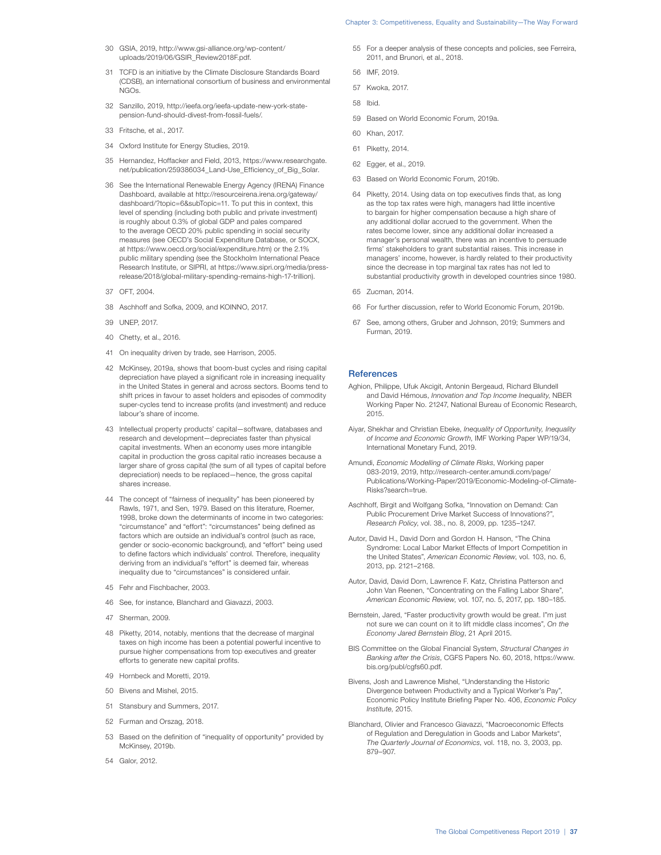- 30 GSIA, 2019, http://www.gsi-alliance.org/wp-content/ uploads/2019/06/GSIR\_Review2018F.pdf.
- 31 TCFD is an initiative by the Climate Disclosure Standards Board (CDSB), an international consortium of business and environmental NGOs.
- 32 Sanzillo, 2019, http://ieefa.org/ieefa-update-new-york-statepension-fund-should-divest-from-fossil-fuels/.
- 33 Fritsche, et al., 2017.
- 34 Oxford Institute for Energy Studies, 2019.
- 35 Hernandez, Hoffacker and Field, 2013, https://www.researchgate. net/publication/259386034\_Land-Use\_Efficiency\_of\_Big\_Solar.
- 36 See the International Renewable Energy Agency (IRENA) Finance Dashboard, available at http://resourceirena.irena.org/gateway/ dashboard/?topic=6&subTopic=11. To put this in context, this level of spending (including both public and private investment) is roughly about 0.3% of global GDP and pales compared to the average OECD 20% public spending in social security measures (see OECD's Social Expenditure Database, or SOCX, at https://www.oecd.org/social/expenditure.htm) or the 2.1% public military spending (see the Stockholm International Peace Research Institute, or SIPRI, at https://www.sipri.org/media/pressrelease/2018/global-military-spending-remains-high-17-trillion).
- 37 OFT 2004
- 38 Aschhoff and Sofka, 2009, and KOINNO, 2017.
- 39 UNEP, 2017.
- 40 Chetty, et al., 2016.
- 41 On inequality driven by trade, see Harrison, 2005.
- 42 McKinsey, 2019a, shows that boom-bust cycles and rising capital depreciation have played a significant role in increasing inequality in the United States in general and across sectors. Booms tend to shift prices in favour to asset holders and episodes of commodity super-cycles tend to increase profits (and investment) and reduce labour's share of income.
- 43 Intellectual property products' capital—software, databases and research and development—depreciates faster than physical capital investments. When an economy uses more intangible capital in production the gross capital ratio increases because a larger share of gross capital (the sum of all types of capital before depreciation) needs to be replaced—hence, the gross capital shares increase.
- 44 The concept of "fairness of inequality" has been pioneered by Rawls, 1971, and Sen, 1979. Based on this literature, Roemer, 1998, broke down the determinants of income in two categories: "circumstance" and "effort": "circumstances" being defined as factors which are outside an individual's control (such as race, gender or socio-economic background), and "effort" being used to define factors which individuals' control. Therefore, inequality deriving from an individual's "effort" is deemed fair, whereas inequality due to "circumstances" is considered unfair.
- 45 Fehr and Fischbacher, 2003.
- 46 See, for instance, Blanchard and Giavazzi, 2003.
- 47 Sherman, 2009.
- 48 Piketty, 2014, notably, mentions that the decrease of marginal taxes on high income has been a potential powerful incentive to pursue higher compensations from top executives and greater efforts to generate new capital profits.
- 49 Hornbeck and Moretti, 2019.
- 50 Bivens and Mishel, 2015.
- 51 Stansbury and Summers, 2017.
- 52 Furman and Orszag, 2018.
- 53 Based on the definition of "inequality of opportunity" provided by McKinsey, 2019b
- 54 Galor, 2012.
- 55 For a deeper analysis of these concepts and policies, see Ferreira, 2011, and Brunori, et al., 2018.
- 56 IMF, 2019.
- 57 Kwoka, 2017.
- 58 Ibid.
- 59 Based on World Economic Forum, 2019a.
- 60 Khan, 2017.
- 61 Piketty, 2014.
- 62 Egger, et al., 2019.
- 63 Based on World Economic Forum, 2019b.
- 64 Piketty, 2014. Using data on top executives finds that, as long as the top tax rates were high, managers had little incentive to bargain for higher compensation because a high share of any additional dollar accrued to the government. When the rates become lower, since any additional dollar increased a manager's personal wealth, there was an incentive to persuade firms' stakeholders to grant substantial raises. This increase in managers' income, however, is hardly related to their productivity since the decrease in top marginal tax rates has not led to substantial productivity growth in developed countries since 1980.
- 65 Zucman, 2014.
- 66 For further discussion, refer to World Economic Forum, 2019b.
- 67 See, among others, Gruber and Johnson, 2019; Summers and Furman, 2019.

#### **References**

- Aghion, Philippe, Ufuk Akcigit, Antonin Bergeaud, Richard Blundell and David Hémous, Innovation and Top Income Inequality, NBER Working Paper No. 21247, National Bureau of Economic Research, 2015.
- Aiyar, Shekhar and Christian Ebeke, Inequality of Opportunity, Inequality of Income and Economic Growth, IMF Working Paper WP/19/34, International Monetary Fund, 2019.
- Amundi, Economic Modelling of Climate Risks, Working paper 083-2019, 2019, http://research-center.amundi.com/page/ Publications/Working-Paper/2019/Economic-Modeling-of-Climate-Risks?search=true.
- Aschhoff, Birgit and Wolfgang Sofka, "Innovation on Demand: Can Public Procurement Drive Market Success of Innovations?", Research Policy, vol. 38., no. 8, 2009, pp. 1235–1247.
- Autor, David H., David Dorn and Gordon H. Hanson, "The China Syndrome: Local Labor Market Effects of Import Competition in the United States", American Economic Review, vol. 103, no. 6, 2013, pp. 2121–2168.
- Autor, David, David Dorn, Lawrence F. Katz, Christina Patterson and John Van Reenen, "Concentrating on the Falling Labor Share", American Economic Review, vol. 107, no. 5, 2017, pp. 180–185.
- Bernstein, Jared, "Faster productivity growth would be great. I"m just not sure we can count on it to lift middle class incomes", On the Economy Jared Bernstein Blog, 21 April 2015.
- BIS Committee on the Global Financial System, Structural Changes in Banking after the Crisis, CGFS Papers No. 60, 2018, https://www. bis.org/publ/cgfs60.pdf.
- Bivens, Josh and Lawrence Mishel, "Understanding the Historic Divergence between Productivity and a Typical Worker's Pay", Economic Policy Institute Briefing Paper No. 406, Economic Policy Institute, 2015.
- Blanchard, Olivier and Francesco Giavazzi, "Macroeconomic Effects of Regulation and Deregulation in Goods and Labor Markets", The Quarterly Journal of Economics, vol. 118, no. 3, 2003, pp. 879–907.

# Chapter 3: Competitiveness, Equality and Sustainability—The Way Forward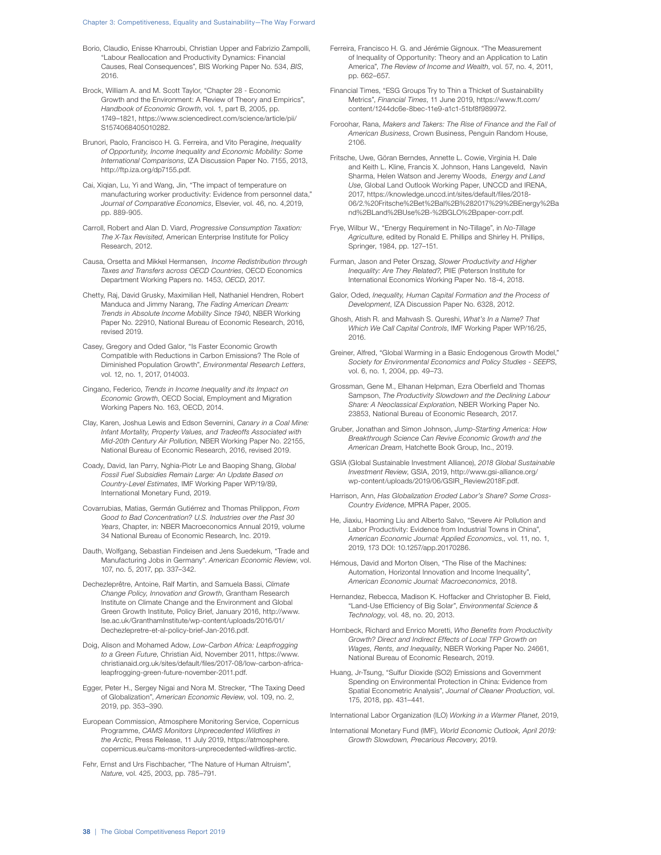#### Chapter 3: Competitiveness, Equality and Sustainability—The Way Forward

- Borio, Claudio, Enisse Kharroubi, Christian Upper and Fabrizio Zampolli, "Labour Reallocation and Productivity Dynamics: Financial Causes, Real Consequences", BIS Working Paper No. 534, BIS, 2016.
- Brock, William A. and M. Scott Taylor, "Chapter 28 Economic Growth and the Environment: A Review of Theory and Empirics", Handbook of Economic Growth, vol. 1, part B, 2005, pp. 1749–1821, https://www.sciencedirect.com/science/article/pii/ S1574068405010282.
- Brunori, Paolo, Francisco H. G. Ferreira, and Vito Peragine, Inequality of Opportunity, Income Inequality and Economic Mobility: Some International Comparisons, IZA Discussion Paper No. 7155, 2013, http://ftp.iza.org/dp7155.pdf.
- Cai, Xiqian, Lu, Yi and Wang, Jin, "The impact of temperature on manufacturing worker productivity: Evidence from personnel data," Journal of Comparative Economics, Elsevier, vol. 46, no. 4,2019, pp. 889-905.
- Carroll, Robert and Alan D. Viard, Progressive Consumption Taxation: The X-Tax Revisited, American Enterprise Institute for Policy Research, 2012.
- Causa, Orsetta and Mikkel Hermansen, Income Redistribution through Taxes and Transfers across OECD Countries, OECD Economics Department Working Papers no. 1453, OECD, 2017.
- Chetty, Raj, David Grusky, Maximilian Hell, Nathaniel Hendren, Robert Manduca and Jimmy Narang, The Fading American Dream: Trends in Absolute Income Mobility Since 1940, NBER Working Paper No. 22910, National Bureau of Economic Research, 2016, revised 2019.
- Casey, Gregory and Oded Galor, "Is Faster Economic Growth Compatible with Reductions in Carbon Emissions? The Role of Diminished Population Growth", Environmental Research Letters, vol. 12, no. 1, 2017, 014003.
- Cingano, Federico, Trends in Income Inequality and its Impact on Economic Growth, OECD Social, Employment and Migration Working Papers No. 163, OECD, 2014.
- Clay, Karen, Joshua Lewis and Edson Severnini, Canary in a Coal Mine: Infant Mortality, Property Values, and Tradeoffs Associated with Mid-20th Century Air Pollution, NBER Working Paper No. 22155, National Bureau of Economic Research, 2016, revised 2019.
- Coady, David, Ian Parry, Nghia-Piotr Le and Baoping Shang, Global Fossil Fuel Subsidies Remain Large: An Update Based on Country-Level Estimates, IMF Working Paper WP/19/89, International Monetary Fund, 2019.
- Covarrubias, Matias, Germán Gutiérrez and Thomas Philippon, From Good to Bad Concentration? U.S. Industries over the Past 30 Years, Chapter, in: NBER Macroeconomics Annual 2019, volume 34 National Bureau of Economic Research, Inc. 2019.
- Dauth, Wolfgang, Sebastian Findeisen and Jens Suedekum, "Trade and Manufacturing Jobs in Germany". American Economic Review, vol. 107, no. 5, 2017, pp. 337–342.
- Dechezleprêtre, Antoine, Ralf Martin, and Samuela Bassi, Climate Change Policy, Innovation and Growth, Grantham Research Institute on Climate Change and the Environment and Global Green Growth Institute, Policy Brief, January 2016, http://www. lse.ac.uk/GranthamInstitute/wp-content/uploads/2016/01/ Dechezlepretre-et-al-policy-brief-Jan-2016.pdf.
- Doig, Alison and Mohamed Adow, Low-Carbon Africa: Leapfrogging to a Green Future, Christian Aid, November 2011, https://www. christianaid.org.uk/sites/default/files/2017-08/low-carbon-africaleapfrogging-green-future-november-2011.pdf.
- Egger, Peter H., Sergey Nigai and Nora M. Strecker, "The Taxing Deed of Globalization", American Economic Review, vol. 109, no. 2, 2019, pp. 353–390.
- European Commission, Atmosphere Monitoring Service, Copernicus Programme, CAMS Monitors Unprecedented Wildfires in the Arctic, Press Release, 11 July 2019, https://atmosphere. copernicus.eu/cams-monitors-unprecedented-wildfires-arctic.
- Fehr, Ernst and Urs Fischbacher, "The Nature of Human Altruism", Nature, vol. 425, 2003, pp. 785–791.
- Ferreira, Francisco H. G. and Jérémie Gignoux. "The Measurement of Inequality of Opportunity: Theory and an Application to Latin America", The Review of Income and Wealth, vol. 57, no. 4, 2011, pp. 662–657.
- Financial Times, "ESG Groups Try to Thin a Thicket of Sustainability Metrics", Financial Times, 11 June 2019, https://www.ft.com/ content/1244dc6e-8bec-11e9-a1c1-51bf8f989972.
- Foroohar, Rana, Makers and Takers: The Rise of Finance and the Fall of American Business, Crown Business, Penguin Random House, 2106.
- Fritsche, Uwe, Göran Berndes, Annette L. Cowie, Virginia H. Dale and Keith L. Kline, Francis X. Johnson, Hans Langeveld, Navin Sharma, Helen Watson and Jeremy Woods, Energy and Land Use, Global Land Outlook Working Paper, UNCCD and IRENA, 2017, https://knowledge.unccd.int/sites/default/files/2018- 06/2.%20Fritsche%2Bet%2Bal%2B%282017%29%2BEnergy%2Ba nd%2BLand%2BUse%2B-%2BGLO%2Bpaper-corr.pdf.
- Frye, Wilbur W., "Energy Requirement in No-Tillage", in No-Tillage Agriculture, edited by Ronald E. Phillips and Shirley H. Phillips, Springer, 1984, pp. 127–151.
- Furman, Jason and Peter Orszag, Slower Productivity and Higher Inequality: Are They Related?, PIIE (Peterson Institute for International Economics Working Paper No. 18-4, 2018.
- Galor, Oded, Inequality, Human Capital Formation and the Process of Development, IZA Discussion Paper No. 6328, 2012.
- Ghosh, Atish R. and Mahvash S. Qureshi, What's In a Name? That Which We Call Capital Controls, IMF Working Paper WP/16/25, 2016.
- Greiner, Alfred, "Global Warming in a Basic Endogenous Growth Model," Society for Environmental Economics and Policy Studies - SEEPS, vol. 6, no. 1, 2004, pp. 49–73.
- Grossman, Gene M., Elhanan Helpman, Ezra Oberfield and Thomas Sampson, The Productivity Slowdown and the Declining Labour Share: A Neoclassical Exploration, NBER Working Paper No. 23853, National Bureau of Economic Research, 2017.
- Gruber, Jonathan and Simon Johnson, Jump-Starting America: How Breakthrough Science Can Revive Economic Growth and the American Dream, Hatchette Book Group, Inc., 2019.
- GSIA (Global Sustainable Investment Alliance), 2018 Global Sustainable Investment Review, GSIA, 2019, http://www.gsi-alliance.org/ wp-content/uploads/2019/06/GSIR\_Review2018F.pdf.
- Harrison, Ann, Has Globalization Eroded Labor's Share? Some Cross-Country Evidence, MPRA Paper, 2005.
- He, Jiaxiu, Haoming Liu and Alberto Salvo, "Severe Air Pollution and Labor Productivity: Evidence from Industrial Towns in China", American Economic Journal: Applied Economics,, vol. 11, no. 1, 2019, 173 DOI: 10.1257/app.20170286.
- Hémous, David and Morton Olsen, "The Rise of the Machines: Automation, Horizontal Innovation and Income Inequality", American Economic Journal: Macroeconomics, 2018.
- Hernandez, Rebecca, Madison K. Hoffacker and Christopher B. Field, "Land-Use Efficiency of Big Solar", Environmental Science & Technology, vol. 48, no. 20, 2013.
- Hornbeck, Richard and Enrico Moretti, Who Benefits from Productivity Growth? Direct and Indirect Effects of Local TFP Growth on Wages, Rents, and Inequality, NBER Working Paper No. 24661, National Bureau of Economic Research, 2019.
- Huang, Jr-Tsung, "Sulfur Dioxide (SO2) Emissions and Government Spending on Environmental Protection in China: Evidence from Spatial Econometric Analysis", Journal of Cleaner Production, vol. 175, 2018, pp. 431–441.
- International Labor Organization (ILO) Working in a Warmer Planet, 2019,
- International Monetary Fund (IMF), World Economic Outlook, April 2019: Growth Slowdown, Precarious Recovery, 2019.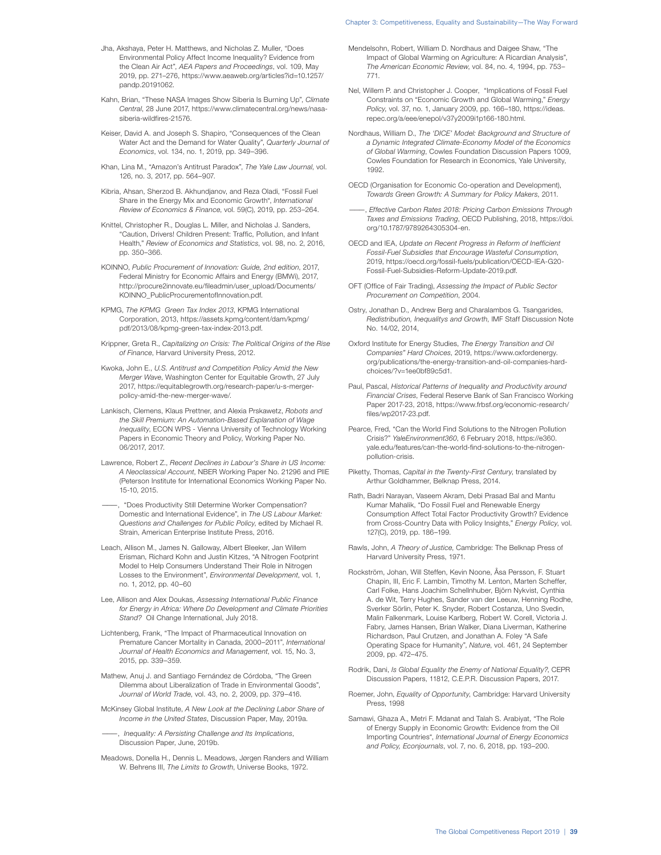- Chapter 3: Competitiveness, Equality and Sustainability—The Way Forward
- Jha, Akshaya, Peter H. Matthews, and Nicholas Z. Muller, "Does Environmental Policy Affect Income Inequality? Evidence from the Clean Air Act", AEA Papers and Proceedings, vol. 109, May 2019, pp. 271–276, https://www.aeaweb.org/articles?id=10.1257/ pandp.20191062.
- Kahn, Brian, "These NASA Images Show Siberia Is Burning Up", Climate Central, 28 June 2017, https://www.climatecentral.org/news/nasasiberia-wildfires-21576.
- Keiser, David A. and Joseph S. Shapiro, "Consequences of the Clean Water Act and the Demand for Water Quality", Quarterly Journal of Economics, vol. 134, no. 1, 2019, pp. 349–396.
- Khan, Lina M., "Amazon's Antitrust Paradox", The Yale Law Journal, vol. 126, no. 3, 2017, pp. 564–907.
- Kibria, Ahsan, Sherzod B. Akhundjanov, and Reza Oladi, "Fossil Fuel Share in the Energy Mix and Economic Growth", International Review of Economics & Finance, vol. 59(C), 2019, pp. 253–264.
- Knittel, Christopher R., Douglas L. Miller, and Nicholas J. Sanders, "Caution, Drivers! Children Present: Traffic, Pollution, and Infant Health," Review of Economics and Statistics, vol. 98, no. 2, 2016, pp. 350–366.
- KOINNO, Public Procurement of Innovation: Guide, 2nd edition, 2017, Federal Ministry for Economic Affairs and Energy (BMWi), 2017, http://procure2innovate.eu/fileadmin/user\_upload/Documents/ KOINNO\_PublicProcurementofInnovation.pdf.
- KPMG, The KPMG Green Tax Index 2013, KPMG International Corporation, 2013, https://assets.kpmg/content/dam/kpmg/ pdf/2013/08/kpmg-green-tax-index-2013.pdf.
- Krippner, Greta R., Capitalizing on Crisis: The Political Origins of the Rise of Finance, Harvard University Press, 2012.
- Kwoka, John E., U.S. Antitrust and Competition Policy Amid the New Merger Wave, Washington Center for Equitable Growth, 27 July 2017, https://equitablegrowth.org/research-paper/u-s-mergerpolicy-amid-the-new-merger-wave/.
- Lankisch, Clemens, Klaus Prettner, and Alexia Prskawetz, Robots and the Skill Premium: An Automation-Based Explanation of Wage Inequality, ECON WPS - Vienna University of Technology Working Papers in Economic Theory and Policy, Working Paper No. 06/2017, 2017.
- Lawrence, Robert Z., Recent Declines in Labour's Share in US Income: A Neoclassical Account, NBER Working Paper No. 21296 and PIIE (Peterson Institute for International Economics Working Paper No. 15-10, 2015.
- ———, "Does Productivity Still Determine Worker Compensation? Domestic and International Evidence", in The US Labour Market: Questions and Challenges for Public Policy, edited by Michael R. Strain, American Enterprise Institute Press, 2016.
- Leach, Allison M., James N. Galloway, Albert Bleeker, Jan Willem Erisman, Richard Kohn and Justin Kitzes, "A Nitrogen Footprint Model to Help Consumers Understand Their Role in Nitrogen Losses to the Environment", Environmental Development, vol. 1, no. 1, 2012, pp. 40–60
- Lee, Allison and Alex Doukas, Assessing International Public Finance for Energy in Africa: Where Do Development and Climate Priorities Stand? Oil Change International, July 2018.
- Lichtenberg, Frank, "The Impact of Pharmaceutical Innovation on Premature Cancer Mortality in Canada, 2000–2011", International Journal of Health Economics and Management, vol. 15, No. 3, 2015, pp. 339–359.
- Mathew, Anuj J. and Santiago Fernández de Córdoba, "The Green Dilemma about Liberalization of Trade in Environmental Goods", Journal of World Trade, vol. 43, no. 2, 2009, pp. 379–416.
- McKinsey Global Institute, A New Look at the Declining Labor Share of Income in the United States, Discussion Paper, May, 2019a.

 $-$ , Inequality: A Persisting Challenge and Its Implications, Discussion Paper, June, 2019b.

Meadows, Donella H., Dennis L. Meadows, Jørgen Randers and William W. Behrens III, The Limits to Growth, Universe Books, 1972.

- Mendelsohn, Robert, William D. Nordhaus and Daigee Shaw, "The Impact of Global Warming on Agriculture: A Ricardian Analysis", The American Economic Review, vol. 84, no. 4, 1994, pp. 753– 771.
- Nel, Willem P. and Christopher J. Cooper, "Implications of Fossil Fuel Constraints on "Economic Growth and Global Warming," Energy Policy, vol. 37, no. 1, January 2009, pp. 166–180, https://ideas. repec.org/a/eee/enepol/v37y2009i1p166-180.html.
- Nordhaus, William D., The 'DICE' Model: Background and Structure of a Dynamic Integrated Climate-Economy Model of the Economics of Global Warming, Cowles Foundation Discussion Papers 1009, Cowles Foundation for Research in Economics, Yale University, 1992.
- OECD (Organisation for Economic Co-operation and Development), Towards Green Growth: A Summary for Policy Makers, 2011.
- , Effective Carbon Rates 2018: Pricing Carbon Emissions Through Taxes and Emissions Trading, OECD Publishing, 2018, https://doi. org/10.1787/9789264305304-en.
- OECD and IEA, Update on Recent Progress in Reform of Inefficient Fossil-Fuel Subsidies that Encourage Wasteful Consumption, 2019, https://oecd.org/fossil-fuels/publication/OECD-IEA-G20- Fossil-Fuel-Subsidies-Reform-Update-2019.pdf.
- OFT (Office of Fair Trading), Assessing the Impact of Public Sector Procurement on Competition, 2004.
- Ostry, Jonathan D., Andrew Berg and Charalambos G. Tsangarides, Redistribution, Inequalitys and Growth, IMF Staff Discussion Note No. 14/02, 2014,
- Oxford Institute for Energy Studies, The Energy Transition and Oil Companies" Hard Choices, 2019, https://www.oxfordenergy. org/publications/the-energy-transition-and-oil-companies-hardchoices/?v=1ee0bf89c5d1.
- Paul, Pascal, Historical Patterns of Inequality and Productivity around Financial Crises, Federal Reserve Bank of San Francisco Working Paper 2017-23, 2018, https://www.frbsf.org/economic-research/ files/wp2017-23.pdf.
- Pearce, Fred, "Can the World Find Solutions to the Nitrogen Pollution Crisis?" YaleEnvironment360, 6 February 2018, https://e360. yale.edu/features/can-the-world-find-solutions-to-the-nitrogenpollution-crisis.
- Piketty, Thomas, Capital in the Twenty-First Century, translated by Arthur Goldhammer, Belknap Press, 2014.
- Rath, Badri Narayan, Vaseem Akram, Debi Prasad Bal and Mantu Kumar Mahalik, "Do Fossil Fuel and Renewable Energy Consumption Affect Total Factor Productivity Growth? Evidence from Cross-Country Data with Policy Insights," Energy Policy, vol. 127(C), 2019, pp. 186–199.
- Rawls, John, A Theory of Justice, Cambridge: The Belknap Press of Harvard University Press, 1971.
- Rockström, Johan, Will Steffen, Kevin Noone, Åsa Persson, F. Stuart Chapin, III, Eric F. Lambin, Timothy M. Lenton, Marten Scheffer, Carl Folke, Hans Joachim Schellnhuber, Björn Nykvist, Cynthia A. de Wit, Terry Hughes, Sander van der Leeuw, Henning Rodhe, Sverker Sörlin, Peter K. Snyder, Robert Costanza, Uno Svedin, Malin Falkenmark, Louise Karlberg, Robert W. Corell, Victoria J. Fabry, James Hansen, Brian Walker, Diana Liverman, Katherine Richardson, Paul Crutzen, and Jonathan A. Foley "A Safe Operating Space for Humanity", Nature, vol. 461, 24 September 2009, pp. 472–475.
- Rodrik, Dani, Is Global Equality the Enemy of National Equality?, CEPR Discussion Papers, 11812, C.E.P.R. Discussion Papers, 2017.
- Roemer, John, Equality of Opportunity, Cambridge: Harvard University Press, 1998
- Samawi, Ghaza A., Metri F. Mdanat and Talah S. Arabiyat, "The Role of Energy Supply in Economic Growth: Evidence from the Oil Importing Countries", International Journal of Energy Economics and Policy, Econjournals, vol. 7, no. 6, 2018, pp. 193–200.